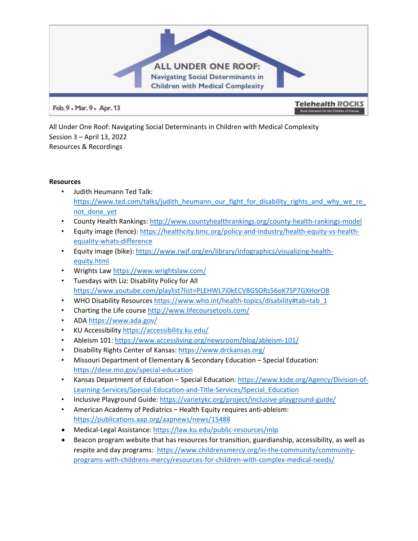

All Under One Roof: Navigating Social Determinants in Children with Medical Complexity Session 3 – April 13, 2022 Resources & Recordings

## **Resources**

- Judith Heumann Ted Talk: https://www.ted.com/talks/judith\_heumann\_our\_fight\_for\_disability\_rights\_and\_why\_we\_re not done yet
- County Health Rankings[: http://www.countyhealthrankings.org/county-health-rankings-model](https://na01.safelinks.protection.outlook.com/?url=http://www.countyhealthrankings.org/county-health-rankings-model&data=02|01|saisha@aha.org|8d43110c2d354c72035408d653e682cc|b9119340beb74e5e84b23cc18f7b36a6|0|0|636788646848446085&sdata=vx4CWQQzkv7kwtC4D82CEMI%2B9rqgKbp98%2BgshT3iO1M%3D&reserved=0)
- Equity image (fence): [https://healthcity.bmc.org/policy-and-industry/health-equity-vs-health](https://healthcity.bmc.org/policy-and-industry/health-equity-vs-health-equality-whats-difference)[equality-whats-difference](https://healthcity.bmc.org/policy-and-industry/health-equity-vs-health-equality-whats-difference)
- Equity image (bike): [https://www.rwjf.org/en/library/infographics/visualizing-health](https://nam04.safelinks.protection.outlook.com/?url=https%3A%2F%2Fwww.rwjf.org%2Fen%2Flibrary%2Finfographics%2Fvisualizing-health-equity.html&data=04%7C01%7Cdmbakula%40cmh.edu%7Ca012ad7ad93940dba47608da1644a75a%7Cfcdc7058dd484a8190b6281159ae72e0%7C0%7C0%7C637846781366940080%7CUnknown%7CTWFpbGZsb3d8eyJWIjoiMC4wLjAwMDAiLCJQIjoiV2luMzIiLCJBTiI6Ik1haWwiLCJXVCI6Mn0%3D%7C3000&sdata=ZFfqHA2M%2BxpdBorJ9tWNj0F5TVNhU8kF86pzYfU4A3w%3D&reserved=0)[equity.html](https://nam04.safelinks.protection.outlook.com/?url=https%3A%2F%2Fwww.rwjf.org%2Fen%2Flibrary%2Finfographics%2Fvisualizing-health-equity.html&data=04%7C01%7Cdmbakula%40cmh.edu%7Ca012ad7ad93940dba47608da1644a75a%7Cfcdc7058dd484a8190b6281159ae72e0%7C0%7C0%7C637846781366940080%7CUnknown%7CTWFpbGZsb3d8eyJWIjoiMC4wLjAwMDAiLCJQIjoiV2luMzIiLCJBTiI6Ik1haWwiLCJXVCI6Mn0%3D%7C3000&sdata=ZFfqHA2M%2BxpdBorJ9tWNj0F5TVNhU8kF86pzYfU4A3w%3D&reserved=0)
- Wrights Law<https://www.wrightslaw.com/>
- Tuesdays with Liz: Disability Policy for All <https://www.youtube.com/playlist?list=PLEHWL7i0kECV8GSORs56oK7SP7GXHorOB>
- WHO Disability Resources [https://www.who.int/health-topics/disability#tab=tab\\_1](https://www.who.int/health-topics/disability)
- Charting the Life cours[e http://www.lifecoursetools.com/](http://www.lifecoursetools.com/)
- ADA<https://www.ada.gov/>
- KU Accessibility<https://accessibility.ku.edu/>
- Ableism 101:<https://www.accessliving.org/newsroom/blog/ableism-101/>
- Disability Rights Center of Kansas[: https://www.drckansas.org/](https://www.drckansas.org/)
- Missouri Department of Elementary & Secondary Education Special Education: <https://dese.mo.gov/special-education>
- Kansas Department of Education Special Education[: https://www.ksde.org/Agency/Division-of-](https://www.ksde.org/Agency/Division-of-Learning-Services/Special-Education-and-Title-Services/Special_Education)[Learning-Services/Special-Education-and-Title-Services/Special\\_Education](https://www.ksde.org/Agency/Division-of-Learning-Services/Special-Education-and-Title-Services/Special_Education)
- Inclusive Playground Guide:<https://varietykc.org/project/inclusive-playground-guide/>
- American Academy of Pediatrics Health Equity requires anti-ableism: <https://publications.aap.org/aapnews/news/15488>
- Medical-Legal Assistance[: https://law.ku.edu/public-resources/mlp](https://law.ku.edu/public-resources/mlp)
- Beacon program website that has resources for transition, guardianship, accessibility, as well as respite and day programs: [https://www.childrensmercy.org/in-the-community/community](https://www.childrensmercy.org/in-the-community/community-programs-with-childrens-mercy/resources-for-children-with-complex-medical-needs/)[programs-with-childrens-mercy/resources-for-children-with-complex-medical-needs/](https://www.childrensmercy.org/in-the-community/community-programs-with-childrens-mercy/resources-for-children-with-complex-medical-needs/)